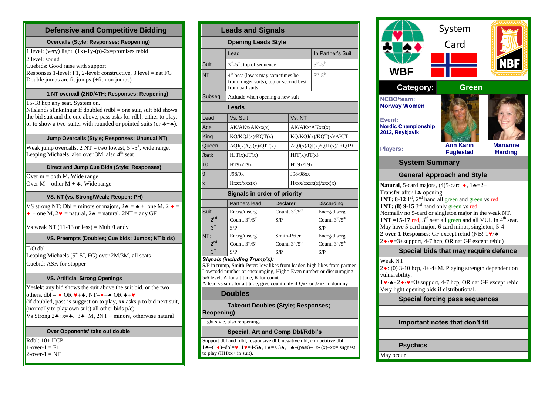| <b>Defensive and Competitive Bidding</b>                                                                                                    |                                       |
|---------------------------------------------------------------------------------------------------------------------------------------------|---------------------------------------|
| <b>Overcalls (Style; Responses; Reopening)</b>                                                                                              |                                       |
| 1 level: (very) light. $(1x)$ -1y- $(p)$ -2x=promises rebid                                                                                 |                                       |
| 2 level: sound<br>Cuebids: Good raise with support                                                                                          | Suit                                  |
| Responses 1-level: $F1$ , 2-level: constructive, 3 level = nat $FG$<br>Double jumps are fit jumps (+fit non jumps)                          | <b>NT</b>                             |
| 1 NT overcall (2ND/4TH; Responses; Reopening)                                                                                               | Subsec                                |
| 15-18 hcp any seat. System on.                                                                                                              |                                       |
| Nilslands slinkningar if doubled $(rdbl = one suit, suit bid shows)$<br>the bid suit and the one above, pass asks for rdbl; either to play, | Lead                                  |
| or to show a two-suiter with rounded or pointed suits (or $*+$ ).                                                                           | Ace                                   |
| Jump Overcalls (Style; Responses; Unusual NT)                                                                                               | King                                  |
| Weak jump overcalls, $2 NT = two lowest, 5+-5+$ , wide range.                                                                               | Queen                                 |
| Leaping Michaels, also over 3M, also 4 <sup>th</sup> seat                                                                                   | Jack                                  |
| Direct and Jump Cue Bids (Style; Responses)                                                                                                 | 10                                    |
| Over $m = both M$ . Wide range                                                                                                              | 9                                     |
| Over $M =$ other $M + \clubsuit$ . Wide range                                                                                               | X                                     |
| VS. NT (vs. Strong/Weak; Reopen: PH)                                                                                                        |                                       |
| VS strong NT: Dbl = minors or majors, $2\clubsuit = \clubsuit +$ one M, $2 \spadesuit =$                                                    |                                       |
| $\bullet$ + one M, 2 $\bullet$ = natural, 2 $\bullet$ = natural, 2NT = any GF                                                               | Suit:<br>2 <sup>nd</sup>              |
| Vs weak NT $(11-13 \text{ or less}) = \text{Multi/Landy}$                                                                                   | 3 <sup>rd</sup>                       |
| VS. Preempts (Doubles; Cue bids; Jumps; NT bids)                                                                                            | NT:                                   |
| $T/O$ dbl                                                                                                                                   | 2 <sup>nd</sup><br>$3^{\text{rd}}$    |
| Leaping Michaels (5 <sup>+</sup> -5 <sup>+</sup> , FG) over 2M/3M, all seats                                                                | <b>Signals</b>                        |
| Cuebid: ASK for stopper                                                                                                                     | $S/P$ in tr                           |
| <b>VS. Artificial Strong Openings</b>                                                                                                       | Low=oc<br>$5/6$ leve                  |
| Yeslek: any bid shows the suit above the suit bid, or the two                                                                               | A-lead v                              |
| others, dbl = $\bullet$ OR $\blacktriangledown + \spadesuit$ , NT= $\blacklozenge + \spadesuit$ OR $\clubsuit + \blacktriangledown$         |                                       |
| (if doubled, pass is suggestion to play, xx asks p to bid next suit,                                                                        |                                       |
| (normally to play own suit) all other bids p/c)                                                                                             | Reope                                 |
| Vs Strong $2\clubsuit$ : x= $\clubsuit$ , $3\clubsuit$ =M, $2NT$ = minors, otherwise natural                                                | Light st                              |
|                                                                                                                                             |                                       |
| Over Opponents' take out double                                                                                                             |                                       |
| Rdbl: 10+ HCP                                                                                                                               | Support                               |
| $1$ -over- $1 = F1$<br>$2$ -over- $1 = NF$                                                                                                  | $1 \bullet - (1 \bullet$<br>to play ( |

| <b>Leads and Signals</b>                                       |                                                                                                                                                                                                                                                                                                  |                                      |                          |                                 |  |
|----------------------------------------------------------------|--------------------------------------------------------------------------------------------------------------------------------------------------------------------------------------------------------------------------------------------------------------------------------------------------|--------------------------------------|--------------------------|---------------------------------|--|
|                                                                | <b>Opening Leads Style</b>                                                                                                                                                                                                                                                                       |                                      |                          |                                 |  |
|                                                                | Lead                                                                                                                                                                                                                                                                                             |                                      |                          | In Partner's Suit               |  |
| Suit                                                           |                                                                                                                                                                                                                                                                                                  | $3rd - 5th$ , top of sequence        |                          | $3rd - 5th$                     |  |
| NΤ                                                             | 4 <sup>th</sup> best (low x may sometimes be<br>from longer suits), top or second best<br>from bad suits                                                                                                                                                                                         |                                      |                          | $3^{\text{rd}} - 5^{\text{th}}$ |  |
| Subseq                                                         | Attitude when opening a new suit                                                                                                                                                                                                                                                                 |                                      |                          |                                 |  |
|                                                                | Leads                                                                                                                                                                                                                                                                                            |                                      |                          |                                 |  |
| Lead                                                           | Vs. Suit                                                                                                                                                                                                                                                                                         |                                      | Vs. NT                   |                                 |  |
| Ace                                                            | AK/AKx/AKxx(x)                                                                                                                                                                                                                                                                                   |                                      | AK/AKx/AKxx(x)           |                                 |  |
| King                                                           | KQ/KQJ(x)/KQT(x)                                                                                                                                                                                                                                                                                 |                                      | KQ/KQJ(x)/KQT(x)/AKJT    |                                 |  |
| Queen                                                          | AQJ(x)/QJ(x)/QJT(x)                                                                                                                                                                                                                                                                              |                                      | AQJ(x)/QJ(x)/QJT(x)/KQT9 |                                 |  |
| Jack                                                           | HJT(x)/JT(x)                                                                                                                                                                                                                                                                                     |                                      | HJT(x)/JT(x)             |                                 |  |
| 10                                                             | HT9x/T9x                                                                                                                                                                                                                                                                                         |                                      | HT9x/T9x                 |                                 |  |
| 9                                                              | J98/9x                                                                                                                                                                                                                                                                                           |                                      | J98/98xx                 |                                 |  |
| X                                                              | $Hx\underline{\mathbf{x}}x/xx\underline{\mathbf{x}}(x)$                                                                                                                                                                                                                                          |                                      | Hxxx/xxxx(x)/xxx(x)      |                                 |  |
|                                                                | <b>Signals in order of priority</b>                                                                                                                                                                                                                                                              |                                      |                          |                                 |  |
|                                                                | Partners lead                                                                                                                                                                                                                                                                                    | <b>Declarer</b>                      |                          | Discarding                      |  |
| Suit:                                                          | Encrg/discrg                                                                                                                                                                                                                                                                                     | Count. $3rd/5th$                     |                          | Encrg/discrg                    |  |
| 2 <sup>nd</sup>                                                | Count, $3^{\text{rd}}/5^{\text{th}}$                                                                                                                                                                                                                                                             | S/P                                  |                          | Count, 3rd/5th                  |  |
| 3 <sup>rd</sup>                                                | S/P                                                                                                                                                                                                                                                                                              |                                      |                          | S/P                             |  |
| NT:                                                            | Encrg/discrg                                                                                                                                                                                                                                                                                     | Smith-Peter                          |                          | Encrg/discrg                    |  |
| 2 <sup>nd</sup>                                                | Count, $3^{\text{rd}}/5^{\text{th}}$                                                                                                                                                                                                                                                             | Count, $3^{\text{rd}}/5^{\text{th}}$ |                          | Count. $3rd/5th$                |  |
| 3 <sup>rd</sup>                                                | S/P                                                                                                                                                                                                                                                                                              | S/P                                  |                          | S/P                             |  |
|                                                                | Signals (including Trump's):<br>S/P in trump, Smith-Peter: low likes from leader, high likes from partner<br>Low=odd number or encouraging, High= Even number or discouraging<br>5/6 level: A for attitude, K for count<br>A-lead vs suit: for attitude, give count only if Qxx or Jxxx in dummy |                                      |                          |                                 |  |
|                                                                | Doubles                                                                                                                                                                                                                                                                                          |                                      |                          |                                 |  |
| <b>Takeout Doubles (Style; Responses;</b><br><b>Reopening)</b> |                                                                                                                                                                                                                                                                                                  |                                      |                          |                                 |  |
|                                                                | Light style, also reopenings                                                                                                                                                                                                                                                                     |                                      |                          |                                 |  |
|                                                                | Special, Art and Comp Dbl/Rdbl's                                                                                                                                                                                                                                                                 |                                      |                          |                                 |  |

t dbl and rdbl, responsive dbl, negative dbl, competitive dbl  $\blacktriangleright$  -dbl= $\blacktriangleright$ , 1 $\blacktriangleright$  =4-5 $\blacktriangle$ , 1 $\blacktriangleleft$  =< 3 $\blacktriangleleft$ , 1 $\blacktriangleleft$  -(pass)-1x- (x)-xx= suggest  $(HHxx+ in suit).$ 

|                                                                                                                      | System                                |                 |
|----------------------------------------------------------------------------------------------------------------------|---------------------------------------|-----------------|
|                                                                                                                      | Card                                  |                 |
|                                                                                                                      |                                       |                 |
|                                                                                                                      |                                       |                 |
| <b>WBF</b>                                                                                                           |                                       |                 |
| <b>Category:</b>                                                                                                     | Green                                 |                 |
| <b>NCBO/team:</b>                                                                                                    |                                       |                 |
| <b>Norway Women</b>                                                                                                  |                                       |                 |
| Event:<br><b>Nordic Championship</b><br>2013, Reykjavik                                                              |                                       |                 |
| <b>Players:</b>                                                                                                      | <b>Ann Karin</b>                      | <b>Marianne</b> |
| <b>System Summary</b>                                                                                                | <b>Fuglestad</b>                      | <b>Harding</b>  |
|                                                                                                                      |                                       |                 |
|                                                                                                                      | <b>General Approach and Style</b>     |                 |
| Natural, 5-card majors, (4)5-card $\bullet$ , 1 $\bullet = 2+$                                                       |                                       |                 |
|                                                                                                                      |                                       |                 |
| Transfer after 14 opening                                                                                            |                                       |                 |
| 1NT: $8-12$ 1 <sup>st</sup> , 2 <sup>nd</sup> hand all green and green vs red                                        |                                       |                 |
| <b>1NT:</b> (8) 9-15 $3^{\text{rd}}$ hand only green vs red<br>Normally no 5-card or singleton major in the weak NT. |                                       |                 |
| <b>1NT</b> = 15-17 red, $3^{rd}$ seat all green and all VUL in $4^{th}$ seat.                                        |                                       |                 |
| May have 5 card major, 6 card minor, singleton, 5-4                                                                  |                                       |                 |
| 2-over-1 Responses: GF except rebid (NB! 1v/A-                                                                       |                                       |                 |
| 2 •/ • = 3+ support, 4-7 hcp, OR nat GF except rebid)                                                                |                                       |                 |
|                                                                                                                      | Special bids that may require defence |                 |
| Weak NT                                                                                                              |                                       |                 |
| $2 \cdot (0)$ 3-10 hcp, 4+-4+M. Playing strength dependent on                                                        |                                       |                 |
| vulnerability.                                                                                                       |                                       |                 |
| 1v/↑-2◆/v=3+support, 4-7 hcp, OR nat GF except rebid                                                                 |                                       |                 |
| Very light opening bids if distributional.                                                                           | <b>Special forcing pass sequences</b> |                 |
|                                                                                                                      |                                       |                 |
|                                                                                                                      | Important notes that don't fit        |                 |
|                                                                                                                      |                                       |                 |
| <b>Psychics</b>                                                                                                      |                                       |                 |